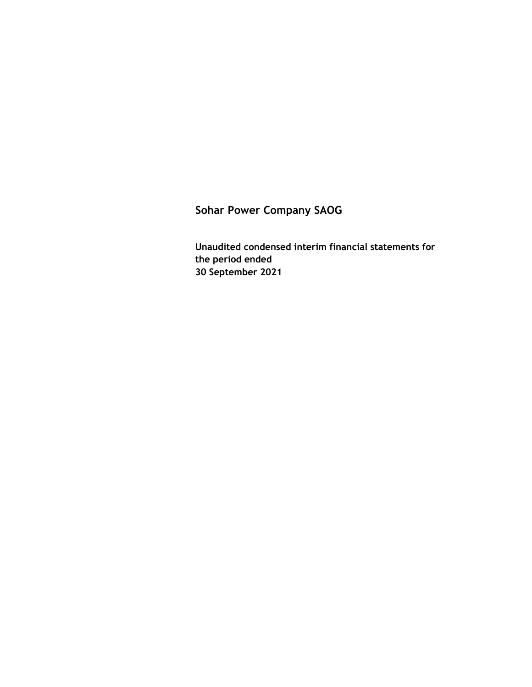**Sohar Power Company SAOG**

**Unaudited condensed interim financial statements for the period ended 30 September 2021**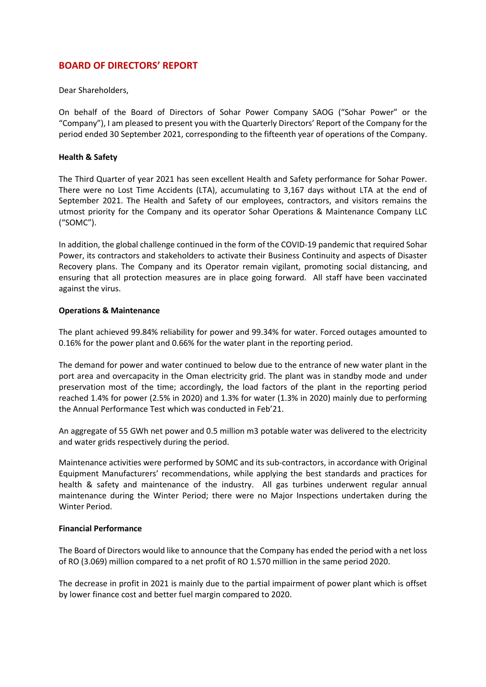### **BOARD OF DIRECTORS' REPORT**

Dear Shareholders,

On behalf of the Board of Directors of Sohar Power Company SAOG ("Sohar Power" or the "Company"), I am pleased to present you with the Quarterly Directors' Report of the Company for the period ended 30 September 2021, corresponding to the fifteenth year of operations of the Company.

### **Health & Safety**

The Third Quarter of year 2021 has seen excellent Health and Safety performance for Sohar Power. There were no Lost Time Accidents (LTA), accumulating to 3,167 days without LTA at the end of September 2021. The Health and Safety of our employees, contractors, and visitors remains the utmost priority for the Company and its operator Sohar Operations & Maintenance Company LLC ("SOMC").

In addition, the global challenge continued in the form of the COVID-19 pandemic that required Sohar Power, its contractors and stakeholders to activate their Business Continuity and aspects of Disaster Recovery plans. The Company and its Operator remain vigilant, promoting social distancing, and ensuring that all protection measures are in place going forward. All staff have been vaccinated against the virus.

### **Operations & Maintenance**

The plant achieved 99.84% reliability for power and 99.34% for water. Forced outages amounted to 0.16% for the power plant and 0.66% for the water plant in the reporting period.

The demand for power and water continued to below due to the entrance of new water plant in the port area and overcapacity in the Oman electricity grid. The plant was in standby mode and under preservation most of the time; accordingly, the load factors of the plant in the reporting period reached 1.4% for power (2.5% in 2020) and 1.3% for water (1.3% in 2020) mainly due to performing the Annual Performance Test which was conducted in Feb'21.

An aggregate of 55 GWh net power and 0.5 million m3 potable water was delivered to the electricity and water grids respectively during the period.

Maintenance activities were performed by SOMC and its sub-contractors, in accordance with Original Equipment Manufacturers' recommendations, while applying the best standards and practices for health & safety and maintenance of the industry. All gas turbines underwent regular annual maintenance during the Winter Period; there were no Major Inspections undertaken during the Winter Period.

### **Financial Performance**

The Board of Directors would like to announce that the Company has ended the period with a net loss of RO (3.069) million compared to a net profit of RO 1.570 million in the same period 2020.

The decrease in profit in 2021 is mainly due to the partial impairment of power plant which is offset by lower finance cost and better fuel margin compared to 2020.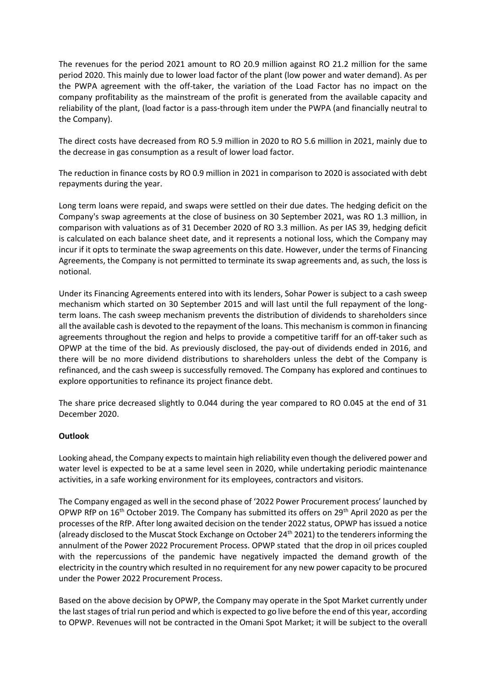The revenues for the period 2021 amount to RO 20.9 million against RO 21.2 million for the same period 2020. This mainly due to lower load factor of the plant (low power and water demand). As per the PWPA agreement with the off-taker, the variation of the Load Factor has no impact on the company profitability as the mainstream of the profit is generated from the available capacity and reliability of the plant, (load factor is a pass-through item under the PWPA (and financially neutral to the Company).

The direct costs have decreased from RO 5.9 million in 2020 to RO 5.6 million in 2021, mainly due to the decrease in gas consumption as a result of lower load factor.

The reduction in finance costs by RO 0.9 million in 2021 in comparison to 2020 is associated with debt repayments during the year.

Long term loans were repaid, and swaps were settled on their due dates. The hedging deficit on the Company's swap agreements at the close of business on 30 September 2021, was RO 1.3 million, in comparison with valuations as of 31 December 2020 of RO 3.3 million. As per IAS 39, hedging deficit is calculated on each balance sheet date, and it represents a notional loss, which the Company may incur if it opts to terminate the swap agreements on this date. However, under the terms of Financing Agreements, the Company is not permitted to terminate its swap agreements and, as such, the loss is notional.

Under its Financing Agreements entered into with its lenders, Sohar Power is subject to a cash sweep mechanism which started on 30 September 2015 and will last until the full repayment of the longterm loans. The cash sweep mechanism prevents the distribution of dividends to shareholders since all the available cash is devoted to the repayment of the loans. This mechanism is common in financing agreements throughout the region and helps to provide a competitive tariff for an off-taker such as OPWP at the time of the bid. As previously disclosed, the pay-out of dividends ended in 2016, and there will be no more dividend distributions to shareholders unless the debt of the Company is refinanced, and the cash sweep is successfully removed. The Company has explored and continues to explore opportunities to refinance its project finance debt.

The share price decreased slightly to 0.044 during the year compared to RO 0.045 at the end of 31 December 2020.

### **Outlook**

Looking ahead, the Company expects to maintain high reliability even though the delivered power and water level is expected to be at a same level seen in 2020, while undertaking periodic maintenance activities, in a safe working environment for its employees, contractors and visitors.

The Company engaged as well in the second phase of '2022 Power Procurement process' launched by OPWP RfP on 16<sup>th</sup> October 2019. The Company has submitted its offers on 29<sup>th</sup> April 2020 as per the processes of the RfP. After long awaited decision on the tender 2022 status, OPWP has issued a notice (already disclosed to the Muscat Stock Exchange on October 24<sup>th</sup> 2021) to the tenderers informing the annulment of the Power 2022 Procurement Process. OPWP stated that the drop in oil prices coupled with the repercussions of the pandemic have negatively impacted the demand growth of the electricity in the country which resulted in no requirement for any new power capacity to be procured under the Power 2022 Procurement Process.

Based on the above decision by OPWP, the Company may operate in the Spot Market currently under the last stages of trial run period and which is expected to go live before the end of this year, according to OPWP. Revenues will not be contracted in the Omani Spot Market; it will be subject to the overall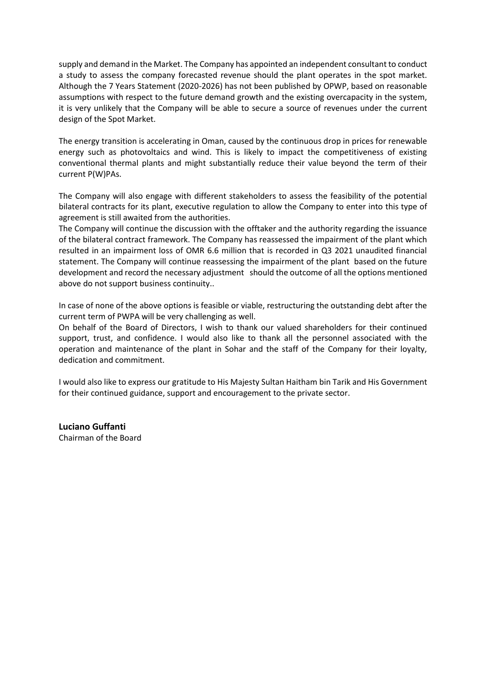supply and demand in the Market. The Company has appointed an independent consultant to conduct a study to assess the company forecasted revenue should the plant operates in the spot market. Although the 7 Years Statement (2020-2026) has not been published by OPWP, based on reasonable assumptions with respect to the future demand growth and the existing overcapacity in the system, it is very unlikely that the Company will be able to secure a source of revenues under the current design of the Spot Market.

The energy transition is accelerating in Oman, caused by the continuous drop in prices for renewable energy such as photovoltaics and wind. This is likely to impact the competitiveness of existing conventional thermal plants and might substantially reduce their value beyond the term of their current P(W)PAs.

The Company will also engage with different stakeholders to assess the feasibility of the potential bilateral contracts for its plant, executive regulation to allow the Company to enter into this type of agreement is still awaited from the authorities.

The Company will continue the discussion with the offtaker and the authority regarding the issuance of the bilateral contract framework. The Company has reassessed the impairment of the plant which resulted in an impairment loss of OMR 6.6 million that is recorded in Q3 2021 unaudited financial statement. The Company will continue reassessing the impairment of the plant based on the future development and record the necessary adjustment should the outcome of all the options mentioned above do not support business continuity..

In case of none of the above options is feasible or viable, restructuring the outstanding debt after the current term of PWPA will be very challenging as well.

On behalf of the Board of Directors, I wish to thank our valued shareholders for their continued support, trust, and confidence. I would also like to thank all the personnel associated with the operation and maintenance of the plant in Sohar and the staff of the Company for their loyalty, dedication and commitment.

I would also like to express our gratitude to His Majesty Sultan Haitham bin Tarik and His Government for their continued guidance, support and encouragement to the private sector.

**Luciano Guffanti** Chairman of the Board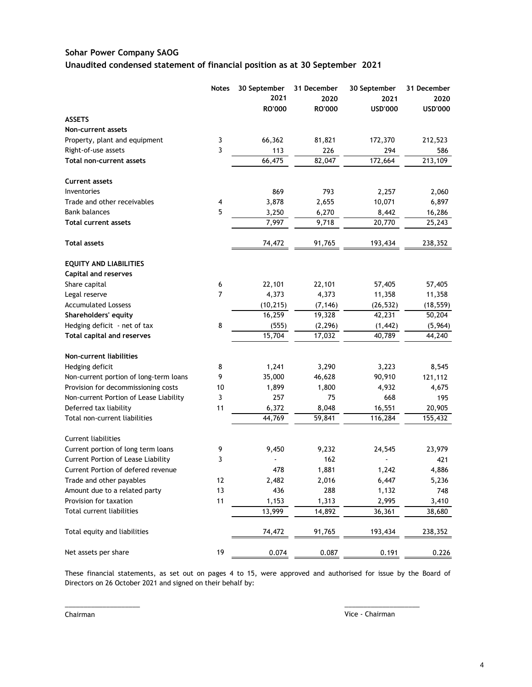### **Sohar Power Company SAOG Unaudited condensed statement of financial position as at 30 September 2021**

|                                        | <b>Notes</b>            | 30 September<br>2021 | 31 December<br>2020 | 30 September<br>2021 | 31 December<br>2020 |
|----------------------------------------|-------------------------|----------------------|---------------------|----------------------|---------------------|
|                                        |                         | RO'000               | RO'000              | <b>USD'000</b>       | <b>USD'000</b>      |
| <b>ASSETS</b>                          |                         |                      |                     |                      |                     |
| Non-current assets                     |                         |                      |                     |                      |                     |
| Property, plant and equipment          | 3                       | 66,362               | 81,821              | 172,370              | 212,523             |
| Right-of-use assets                    | 3                       | 113                  | 226                 | 294                  | 586                 |
| Total non-current assets               |                         | 66,475               | 82,047              | 172,664              | 213,109             |
| <b>Current assets</b>                  |                         |                      |                     |                      |                     |
| Inventories                            |                         | 869                  | 793                 | 2,257                | 2,060               |
| Trade and other receivables            | $\overline{\mathbf{4}}$ | 3,878                | 2,655               | 10,071               | 6,897               |
| <b>Bank balances</b>                   | 5                       | 3,250                | 6,270               | 8,442                | 16,286              |
| <b>Total current assets</b>            |                         | 7,997                | 9,718               | 20,770               | 25,243              |
| <b>Total assets</b>                    |                         | 74,472               | 91,765              | 193,434              | 238,352             |
| <b>EQUITY AND LIABILITIES</b>          |                         |                      |                     |                      |                     |
| <b>Capital and reserves</b>            |                         |                      |                     |                      |                     |
| Share capital                          | 6                       | 22,101               | 22,101              | 57,405               | 57,405              |
| Legal reserve                          | 7                       | 4,373                | 4,373               | 11,358               | 11,358              |
| <b>Accumulated Lossess</b>             |                         | (10, 215)            | (7, 146)            | (26, 532)            | (18, 559)           |
| Shareholders' equity                   |                         | 16,259               | 19,328              | 42,231               | 50,204              |
| Hedging deficit - net of tax           | 8                       | (555)                | (2, 296)            | (1, 442)             | (5,964)             |
| Total capital and reserves             |                         | 15,704               | 17,032              | 40,789               | 44,240              |
| Non-current liabilities                |                         |                      |                     |                      |                     |
| Hedging deficit                        | 8                       | 1,241                | 3,290               | 3,223                | 8,545               |
| Non-current portion of long-term loans | 9                       | 35,000               | 46,628              | 90,910               | 121,112             |
| Provision for decommissioning costs    | 10                      | 1,899                | 1,800               | 4,932                | 4,675               |
| Non-current Portion of Lease Liability | 3                       | 257                  | 75                  | 668                  | 195                 |
| Deferred tax liability                 | 11                      | 6,372                | 8,048               | 16,551               | 20,905              |
| Total non-current liabilities          |                         | 44,769               | 59,841              | 116,284              | 155,432             |
| <b>Current liabilities</b>             |                         |                      |                     |                      |                     |
| Current portion of long term loans     | 9                       | 9,450                | 9,232               | 24,545               | 23,979              |
| Current Portion of Lease Liability     | 3                       |                      | 162                 |                      | 421                 |
| Current Portion of defered revenue     |                         | 478                  | 1,881               | 1,242                | 4,886               |
| Trade and other payables               | 12                      | 2,482                | 2,016               | 6,447                | 5,236               |
| Amount due to a related party          | 13                      | 436                  | 288                 | 1,132                | 748                 |
| Provision for taxation                 | 11                      | 1,153                | 1,313               | 2,995                | 3,410               |
| Total current liabilities              |                         | 13,999               | 14,892              | 36,361               | 38,680              |
| Total equity and liabilities           |                         | 74,472               | 91,765              | 193,434              | 238,352             |
| Net assets per share                   | 19                      | 0.074                | 0.087               | 0.191                | 0.226               |

These financial statements, as set out on pages 4 to 15, were approved and authorised for issue by the Board of Directors on 26 October 2021 and signed on their behalf by:

 $\frac{1}{2}$  ,  $\frac{1}{2}$  ,  $\frac{1}{2}$  ,  $\frac{1}{2}$  ,  $\frac{1}{2}$  ,  $\frac{1}{2}$  ,  $\frac{1}{2}$  ,  $\frac{1}{2}$  ,  $\frac{1}{2}$  ,  $\frac{1}{2}$  ,  $\frac{1}{2}$  ,  $\frac{1}{2}$  ,  $\frac{1}{2}$  ,  $\frac{1}{2}$  ,  $\frac{1}{2}$  ,  $\frac{1}{2}$  ,  $\frac{1}{2}$  ,  $\frac{1}{2}$  ,  $\frac{1$ 

Chairman Vice - Chairman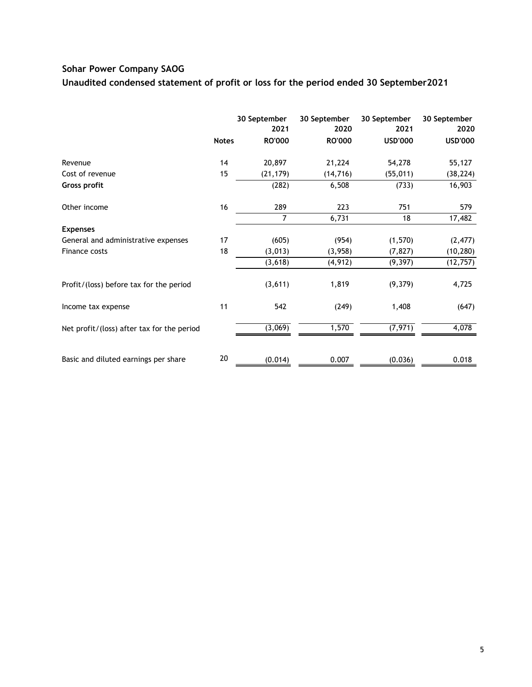# **Sohar Power Company SAOG**

**Unaudited condensed statement of profit or loss for the period ended 30 September2021**

|                                            |              | 30 September<br>2021 | 30 September<br>2020 | 30 September<br>2021 | 30 September<br>2020 |
|--------------------------------------------|--------------|----------------------|----------------------|----------------------|----------------------|
|                                            | <b>Notes</b> | <b>RO'000</b>        | <b>RO'000</b>        | <b>USD'000</b>       | <b>USD'000</b>       |
| Revenue                                    | 14           | 20,897               | 21,224               | 54,278               | 55,127               |
| Cost of revenue                            | 15           | (21, 179)            | (14, 716)            | (55, 011)            | (38, 224)            |
| Gross profit                               |              | (282)                | 6,508                | (733)                | 16,903               |
| Other income                               | 16           | 289                  | 223                  | 751                  | 579                  |
|                                            |              | 7                    | 6,731                | 18                   | 17,482               |
| <b>Expenses</b>                            |              |                      |                      |                      |                      |
| General and administrative expenses        | 17           | (605)                | (954)                | (1,570)              | (2, 477)             |
| Finance costs                              | 18           | (3,013)              | (3,958)              | (7, 827)             | (10, 280)            |
|                                            |              | (3,618)              | (4, 912)             | (9, 397)             | (12, 757)            |
| Profit/(loss) before tax for the period    |              | (3,611)              | 1,819                | (9,379)              | 4,725                |
| Income tax expense                         | 11           | 542                  | (249)                | 1,408                | (647)                |
| Net profit/(loss) after tax for the period |              | (3,069)              | 1,570                | (7, 971)             | 4,078                |
| Basic and diluted earnings per share       | 20           | (0.014)              | 0.007                | (0.036)              | 0.018                |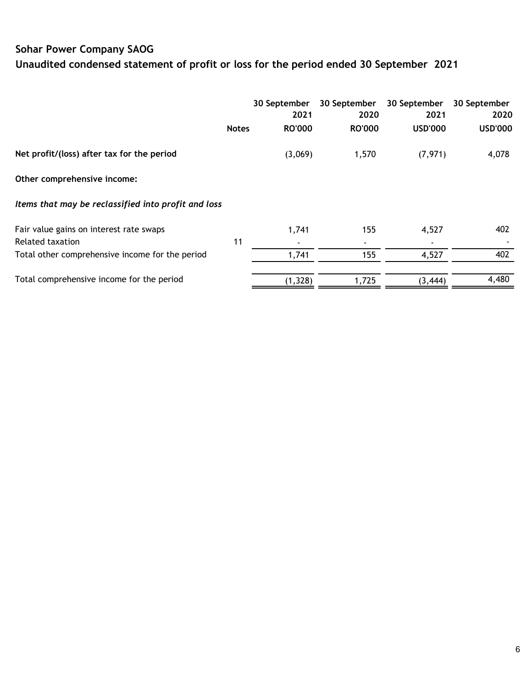# **Sohar Power Company SAOG Unaudited condensed statement of profit or loss for the period ended 30 September 2021**

|                                                     |              | 30 September  | 30 September  | 30 September   | 30 September   |
|-----------------------------------------------------|--------------|---------------|---------------|----------------|----------------|
|                                                     |              | 2021          | 2020          | 2021           | 2020           |
|                                                     | <b>Notes</b> | <b>RO'000</b> | <b>RO'000</b> | <b>USD'000</b> | <b>USD'000</b> |
| Net profit/(loss) after tax for the period          |              | (3,069)       | 1,570         | (7, 971)       | 4,078          |
| Other comprehensive income:                         |              |               |               |                |                |
| Items that may be reclassified into profit and loss |              |               |               |                |                |
| Fair value gains on interest rate swaps             |              | 1,741         | 155           | 4,527          | 402            |
| Related taxation                                    | 11           |               | ۰             |                |                |
| Total other comprehensive income for the period     |              | 1,741         | 155           | 4,527          | 402            |
| Total comprehensive income for the period           |              | (1, 328)      | 1,725         | (3, 444)       | 4,480          |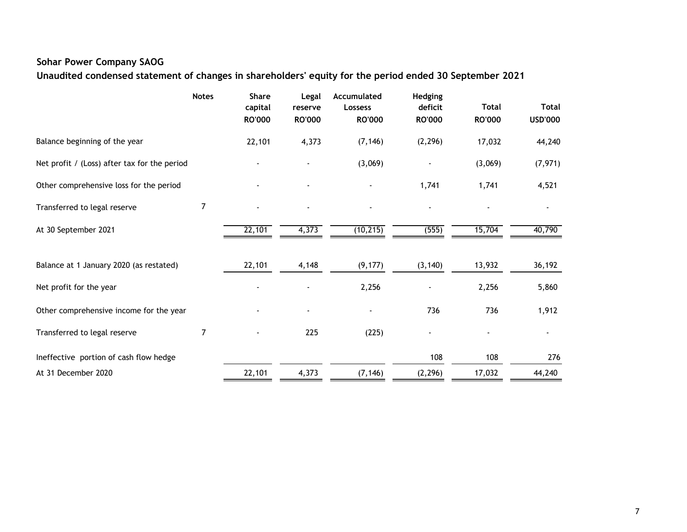# **Sohar Power Company SAOG**

**Unaudited condensed statement of changes in shareholders' equity for the period ended 30 September 2021**

|                                              | <b>Notes</b>   | <b>Share</b><br>capital<br><b>RO'000</b> | Legal<br>reserve<br><b>RO'000</b> | Accumulated<br><b>Lossess</b><br><b>RO'000</b> | Hedging<br>deficit<br><b>RO'000</b> | <b>Total</b><br><b>RO'000</b> | <b>Total</b><br><b>USD'000</b> |
|----------------------------------------------|----------------|------------------------------------------|-----------------------------------|------------------------------------------------|-------------------------------------|-------------------------------|--------------------------------|
| Balance beginning of the year                |                | 22,101                                   | 4,373                             | (7, 146)                                       | (2, 296)                            | 17,032                        | 44,240                         |
| Net profit / (Loss) after tax for the period |                |                                          |                                   | (3,069)                                        |                                     | (3,069)                       | (7, 971)                       |
| Other comprehensive loss for the period      |                |                                          |                                   |                                                | 1,741                               | 1,741                         | 4,521                          |
| Transferred to legal reserve                 | $\overline{7}$ |                                          |                                   |                                                |                                     |                               |                                |
| At 30 September 2021                         |                | 22,101                                   | 4,373                             | (10, 215)                                      | (555)                               | 15,704                        | 40,790                         |
| Balance at 1 January 2020 (as restated)      |                | 22,101                                   | 4,148                             | (9, 177)                                       | (3, 140)                            | 13,932                        | 36,192                         |
| Net profit for the year                      |                |                                          |                                   | 2,256                                          |                                     | 2,256                         | 5,860                          |
| Other comprehensive income for the year      |                |                                          |                                   |                                                | 736                                 | 736                           | 1,912                          |
| Transferred to legal reserve                 | 7              |                                          | 225                               | (225)                                          |                                     |                               |                                |
| Ineffective portion of cash flow hedge       |                |                                          |                                   |                                                | 108                                 | 108                           | 276                            |
| At 31 December 2020                          |                | 22,101                                   | 4,373                             | (7, 146)                                       | (2, 296)                            | 17,032                        | 44,240                         |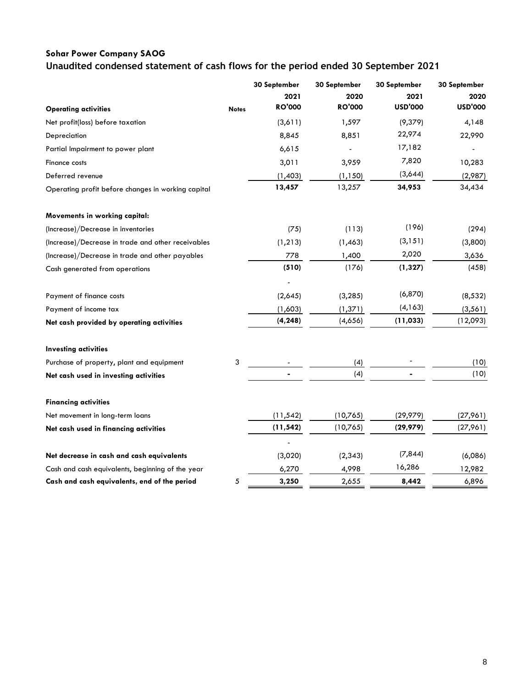# **Sohar Power Company SAOG Unaudited condensed statement of cash flows for the period ended 30 September 2021**

|                                                    |              | 30 September   | 30 September  | 30 September   | 30 September   |
|----------------------------------------------------|--------------|----------------|---------------|----------------|----------------|
|                                                    |              | 2021           | 2020          | 2021           | 2020           |
| <b>Operating activities</b>                        | <b>Notes</b> | <b>RO'000</b>  | <b>RO'000</b> | <b>USD'000</b> | <b>USD'000</b> |
| Net profit(loss) before taxation                   |              | (3,611)        | 1,597         | (9,379)        | 4,148          |
| Depreciation                                       |              | 8,845          | 8,851         | 22,974         | 22,990         |
| Partial Impairment to power plant                  |              | 6,615          |               | 17,182         |                |
| Finance costs                                      |              | 3,011          | 3,959         | 7,820          | 10,283         |
| Deferred revenue                                   |              | (1,403)        | (1, 150)      | (3,644)        | (2,987)        |
| Operating profit before changes in working capital |              | 13,457         | 13,257        | 34,953         | 34,434         |
| Movements in working capital:                      |              |                |               |                |                |
| (Increase)/Decrease in inventories                 |              | (75)           | (113)         | (196)          | (294)          |
| (Increase)/Decrease in trade and other receivables |              | (1, 213)       | (1, 463)      | (3, 151)       | (3,800)        |
| (Increase)/Decrease in trade and other payables    |              | 778            | 1,400         | 2,020          | 3,636          |
| Cash generated from operations                     |              | (510)          | (176)         | (1, 327)       | (458)          |
| Payment of finance costs                           |              | (2,645)        | (3, 285)      | (6, 870)       | (8, 532)       |
| Payment of income tax                              |              | (1,603)        | (1, 371)      | (4, 163)       | (3, 561)       |
| Net cash provided by operating activities          |              | (4, 248)       | (4,656)       | (11, 033)      | (12,093)       |
| <b>Investing activities</b>                        |              |                |               |                |                |
| Purchase of property, plant and equipment          | 3            |                | (4)           |                | (10)           |
| Net cash used in investing activities              |              | $\blacksquare$ | (4)           |                | (10)           |
| <b>Financing activities</b>                        |              |                |               |                |                |
| Net movement in long-term loans                    |              | (11, 542)      | (10,765)      | (29, 979)      | (27,961)       |
| Net cash used in financing activities              |              | (11, 542)      | (10,765)      | (29, 979)      | (27,961)       |
| Net decrease in cash and cash equivalents          |              | (3,020)        | (2, 343)      | (7, 844)       | (6,086)        |
| Cash and cash equivalents, beginning of the year   |              | 6,270          | 4,998         | 16,286         | 12,982         |
| Cash and cash equivalents, end of the period       | 5            | 3,250          | 2,655         | 8,442          | 6,896          |
|                                                    |              |                |               |                |                |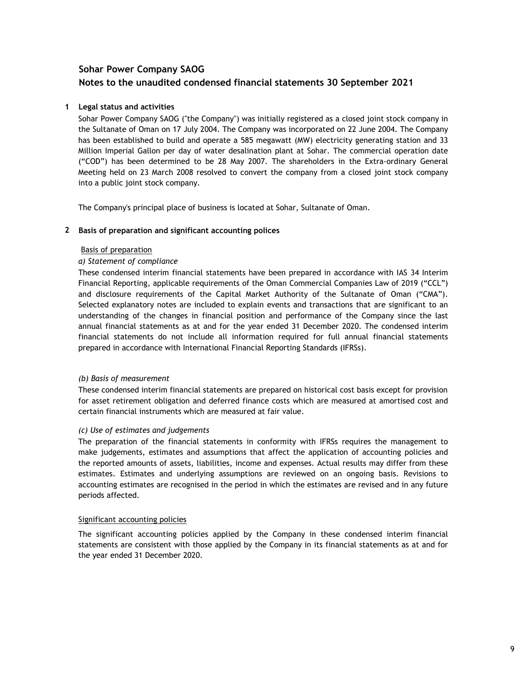### **1 Legal status and activities**

Sohar Power Company SAOG ("the Company") was initially registered as a closed joint stock company in the Sultanate of Oman on 17 July 2004. The Company was incorporated on 22 June 2004. The Company has been established to build and operate a 585 megawatt (MW) electricity generating station and 33 Million Imperial Gallon per day of water desalination plant at Sohar. The commercial operation date ("COD") has been determined to be 28 May 2007. The shareholders in the Extra-ordinary General Meeting held on 23 March 2008 resolved to convert the company from a closed joint stock company into a public joint stock company.

The Company's principal place of business is located at Sohar, Sultanate of Oman.

### **2 Basis of preparation and significant accounting polices**

#### Basis of preparation

#### *a) Statement of compliance*

These condensed interim financial statements have been prepared in accordance with IAS 34 Interim Financial Reporting, applicable requirements of the Oman Commercial Companies Law of 2019 ("CCL") and disclosure requirements of the Capital Market Authority of the Sultanate of Oman ("CMA"). Selected explanatory notes are included to explain events and transactions that are significant to an understanding of the changes in financial position and performance of the Company since the last annual financial statements as at and for the year ended 31 December 2020. The condensed interim financial statements do not include all information required for full annual financial statements prepared in accordance with International Financial Reporting Standards (IFRSs).

### *(b) Basis of measurement*

These condensed interim financial statements are prepared on historical cost basis except for provision for asset retirement obligation and deferred finance costs which are measured at amortised cost and certain financial instruments which are measured at fair value.

### *(c) Use of estimates and judgements*

The preparation of the financial statements in conformity with IFRSs requires the management to make judgements, estimates and assumptions that affect the application of accounting policies and the reported amounts of assets, liabilities, income and expenses. Actual results may differ from these estimates. Estimates and underlying assumptions are reviewed on an ongoing basis. Revisions to accounting estimates are recognised in the period in which the estimates are revised and in any future periods affected.

#### Significant accounting policies

The significant accounting policies applied by the Company in these condensed interim financial statements are consistent with those applied by the Company in its financial statements as at and for the year ended 31 December 2020.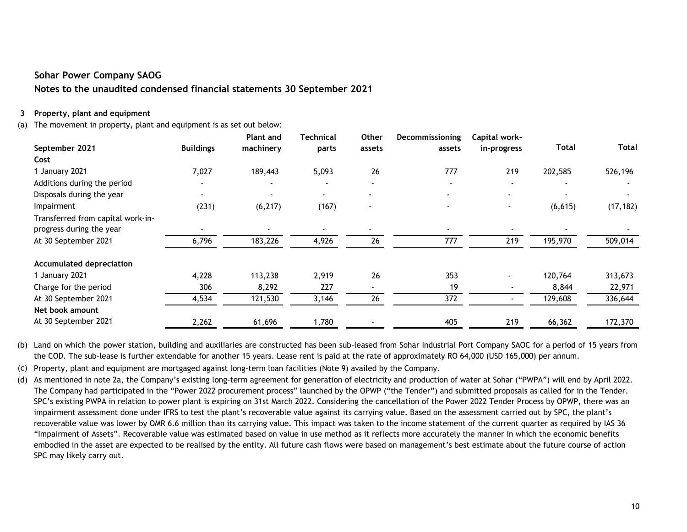### **3 Property, plant and equipment**

(a) The movement in property, plant and equipment is as set out below:

|                                   |                  | <b>Plant and</b> | Technical | <b>Other</b>   | Decommissioning | Capital work-  |              |              |
|-----------------------------------|------------------|------------------|-----------|----------------|-----------------|----------------|--------------|--------------|
| September 2021                    | <b>Buildings</b> | machinery        | parts     | assets         | assets          | in-progress    | <b>Total</b> | <b>Total</b> |
| Cost                              |                  |                  |           |                |                 |                |              |              |
| 1 January 2021                    | 7,027            | 189,443          | 5,093     | 26             | 777             | 219            | 202,585      | 526,196      |
| Additions during the period       |                  |                  |           | $\sim$         | $\blacksquare$  | $\blacksquare$ |              |              |
| Disposals during the year         | $\blacksquare$   | $\blacksquare$   | $\sim$    |                | $\blacksquare$  |                |              |              |
| Impairment                        | (231)            | (6, 217)         | (167)     | $\blacksquare$ | $\sim$          | $\sim$         | (6, 615)     | (17, 182)    |
| Transferred from capital work-in- |                  |                  |           |                |                 |                |              |              |
| progress during the year          |                  |                  |           |                |                 |                |              |              |
| At 30 September 2021              | 6,796            | 183,226          | 4,926     | 26             | 777             | 219            | 195,970      | 509,014      |
| <b>Accumulated depreciation</b>   |                  |                  |           |                |                 |                |              |              |
| 1 January 2021                    | 4,228            | 113,238          | 2,919     | 26             | 353             |                | 120,764      | 313,673      |
| Charge for the period             | 306              | 8,292            | 227       | $\blacksquare$ | 19              |                | 8,844        | 22,971       |
| At 30 September 2021              | 4,534            | 121,530          | 3,146     | 26             | 372             |                | 129,608      | 336,644      |
| Net book amount                   |                  |                  |           |                |                 |                |              |              |
| At 30 September 2021              | 2,262            | 61,696           | 1,780     |                | 405             | 219            | 66,362       | 172,370      |

(b) Land on which the power station, building and auxiliaries are constructed has been sub-leased from Sohar Industrial Port Company SAOC for a period of 15 years from the COD. The sub-lease is further extendable for another 15 years. Lease rent is paid at the rate of approximately RO 64,000 (USD 165,000) per annum.

(c) Property, plant and equipment are mortgaged against long-term loan facilities (Note 9) availed by the Company.

(d) As mentioned in note 2a, the Company's existing long-term agreement for generation of electricity and production of water at Sohar ("PWPA") will end by April 2022. The Company had participated in the "Power 2022 procurement process" launched by the OPWP ("the Tender") and submitted proposals as called for in the Tender. SPC's existing PWPA in relation to power plant is expiring on 31st March 2022. Considering the cancellation of the Power 2022 Tender Process by OPWP, there was an impairment assessment done under IFRS to test the plant's recoverable value against its carrying value. Based on the assessment carried out by SPC, the plant's recoverable value was lower by OMR 6.6 million than its carrying value. This impact was taken to the income statement of the current quarter as required by IAS 36 "Impairment of Assets". Recoverable value was estimated based on value in use method as it reflects more accurately the manner in which the economic benefits embodied in the asset are expected to be realised by the entity. All future cash flows were based on management's best estimate about the future course of action SPC may likely carry out.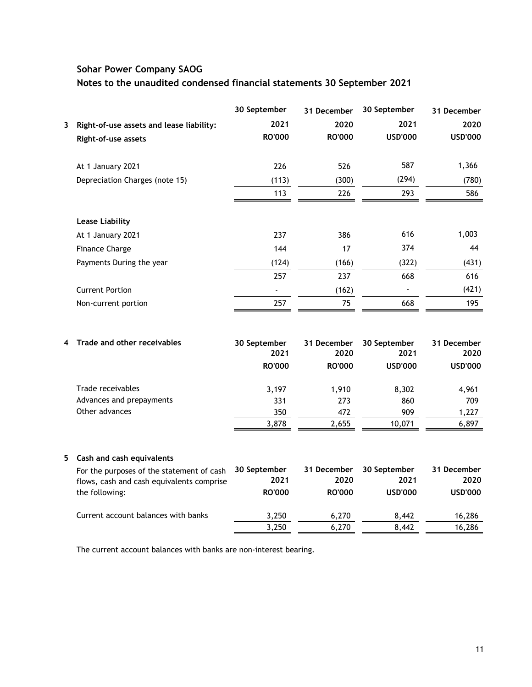|    |                                           | 30 September         | 31 December         | 30 September         | 31 December         |
|----|-------------------------------------------|----------------------|---------------------|----------------------|---------------------|
| 3  | Right-of-use assets and lease liability:  | 2021                 | 2020                | 2021                 | 2020                |
|    | Right-of-use assets                       | <b>RO'000</b>        | <b>RO'000</b>       | <b>USD'000</b>       | <b>USD'000</b>      |
|    | At 1 January 2021                         | 226                  | 526                 | 587                  | 1,366               |
|    | Depreciation Charges (note 15)            | (113)                | (300)               | (294)                | (780)               |
|    |                                           | 113                  | 226                 | 293                  | 586                 |
|    | <b>Lease Liability</b>                    |                      |                     |                      |                     |
|    | At 1 January 2021                         | 237                  | 386                 | 616                  | 1,003               |
|    | <b>Finance Charge</b>                     | 144                  | 17                  | 374                  | 44                  |
|    | Payments During the year                  | (124)                | (166)               | (322)                | (431)               |
|    |                                           | 257                  | 237                 | 668                  | 616                 |
|    | <b>Current Portion</b>                    |                      | (162)               |                      | (421)               |
|    | Non-current portion                       | 257                  | 75                  | 668                  | 195                 |
|    |                                           |                      |                     |                      |                     |
| 4  | Trade and other receivables               | 30 September<br>2021 | 31 December<br>2020 | 30 September<br>2021 | 31 December<br>2020 |
|    |                                           | <b>RO'000</b>        | <b>RO'000</b>       | <b>USD'000</b>       | <b>USD'000</b>      |
|    | Trade receivables                         | 3,197                | 1,910               | 8,302                | 4,961               |
|    | Advances and prepayments                  | 331                  | 273                 | 860                  | 709                 |
|    | Other advances                            | 350                  | 472                 | 909                  | 1,227               |
|    |                                           | 3,878                | 2,655               | 10,071               | 6,897               |
| 5. | Cash and cash equivalents                 |                      |                     |                      |                     |
|    | For the purposes of the statement of cash | 30 September         | 31 December         | 30 September         | 31 December         |
|    | flows, cash and cash equivalents comprise | 2021                 | 2020                | 2021                 | 2020                |
|    | the following:                            | <b>RO'000</b>        | <b>RO'000</b>       | <b>USD'000</b>       | <b>USD'000</b>      |
|    | Current account balances with banks       | 3,250                | 6,270               | 8,442                | 16,286              |
|    |                                           | 3,250                | 6,270               | 8,442                | 16,286              |
|    |                                           |                      |                     |                      |                     |

The current account balances with banks are non-interest bearing.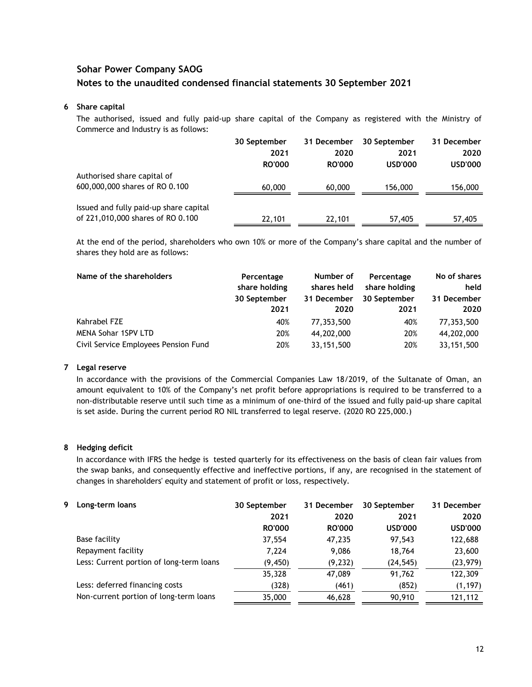#### **6 Share capital**

The authorised, issued and fully paid-up share capital of the Company as registered with the Ministry of Commerce and Industry is as follows:

|                                        | 30 September  | 31 December<br>30 September |                | 31 December    |  |
|----------------------------------------|---------------|-----------------------------|----------------|----------------|--|
|                                        | 2021          | 2020                        | 2021           | 2020           |  |
|                                        | <b>RO'000</b> | <b>RO'000</b>               | <b>USD'000</b> | <b>USD'000</b> |  |
| Authorised share capital of            |               |                             |                |                |  |
| 600,000,000 shares of RO 0.100         | 60,000        | 60,000                      | 156,000        | 156,000        |  |
| Issued and fully paid-up share capital |               |                             |                |                |  |
| of 221,010,000 shares of RO 0.100      | 22,101        | 22,101                      | 57,405         | 57,405         |  |

At the end of the period, shareholders who own 10% or more of the Company's share capital and the number of shares they hold are as follows:

| Name of the shareholders             | Percentage<br>share holding<br>30 September<br>2021 | Number of<br>shares held<br>31 December<br>2020 | Percentage<br>share holding<br>30 September<br>2021 | No of shares<br>held<br>31 December<br>2020 |
|--------------------------------------|-----------------------------------------------------|-------------------------------------------------|-----------------------------------------------------|---------------------------------------------|
| Kahrabel FZE                         | 40%                                                 | 77,353,500                                      | 40%                                                 | 77,353,500                                  |
| <b>MENA Sohar 1SPV LTD</b>           | 20%                                                 | 44,202,000                                      | 20%                                                 | 44,202,000                                  |
| Civil Service Employees Pension Fund | 20%                                                 | 33, 151, 500                                    | 20%                                                 | 33, 151, 500                                |

### **7 Legal reserve**

In accordance with the provisions of the Commercial Companies Law 18/2019, of the Sultanate of Oman, an amount equivalent to 10% of the Company's net profit before appropriations is required to be transferred to a non-distributable reserve until such time as a minimum of one-third of the issued and fully paid-up share capital is set aside. During the current period RO NIL transferred to legal reserve. (2020 RO 225,000.)

### **8 Hedging deficit**

In accordance with IFRS the hedge is tested quarterly for its effectiveness on the basis of clean fair values from the swap banks, and consequently effective and ineffective portions, if any, are recognised in the statement of changes in shareholders' equity and statement of profit or loss, respectively.

| 9. | Long-term loans                          | 30 September  | 31 December   | 30 September   | 31 December    |
|----|------------------------------------------|---------------|---------------|----------------|----------------|
|    |                                          | 2021          | 2020          | 2021           | 2020           |
|    |                                          | <b>RO'000</b> | <b>RO'000</b> | <b>USD'000</b> | <b>USD'000</b> |
|    | Base facility                            | 37,554        | 47,235        | 97,543         | 122,688        |
|    | Repayment facility                       | 7,224         | 9,086         | 18,764         | 23,600         |
|    | Less: Current portion of long-term loans | (9, 450)      | (9, 232)      | (24, 545)      | (23, 979)      |
|    |                                          | 35,328        | 47,089        | 91,762         | 122,309        |
|    | Less: deferred financing costs           | (328)         | (461)         | (852)          | (1, 197)       |
|    | Non-current portion of long-term loans   | 35,000        | 46,628        | 90,910         | 121,112        |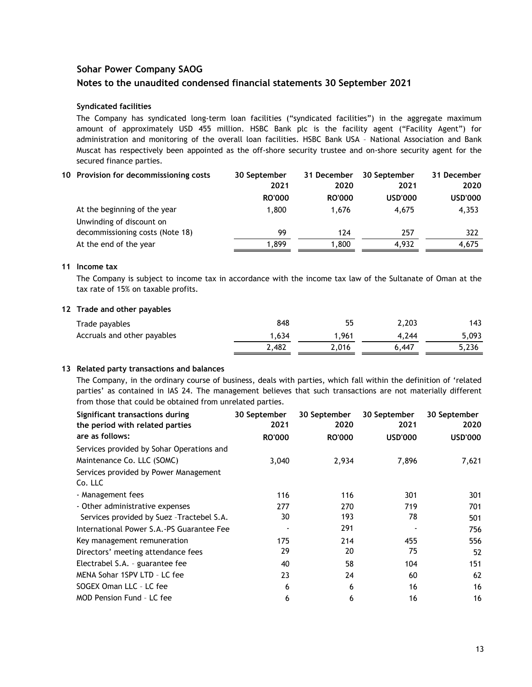### **Syndicated facilities**

The Company has syndicated long-term loan facilities ("syndicated facilities") in the aggregate maximum amount of approximately USD 455 million. HSBC Bank plc is the facility agent ("Facility Agent") for administration and monitoring of the overall loan facilities. HSBC Bank USA – National Association and Bank Muscat has respectively been appointed as the off-shore security trustee and on-shore security agent for the secured finance parties.

| 10 Provision for decommissioning costs | 30 September  | 31 December   | 30 September   | 31 December    |
|----------------------------------------|---------------|---------------|----------------|----------------|
|                                        | 2021          | 2020          | 2021           | 2020           |
|                                        | <b>RO'000</b> | <b>RO'000</b> | <b>USD'000</b> | <b>USD'000</b> |
| At the beginning of the year           | 1.800         | 1.676         | 4.675          | 4,353          |
| Unwinding of discount on               |               |               |                |                |
| decommissioning costs (Note 18)        | 99            | 124           | 257            | 322            |
| At the end of the year                 | 1.899         | 1.800         | 4.932          | 4.675          |

#### **11 Income tax**

The Company is subject to income tax in accordance with the income tax law of the Sultanate of Oman at the tax rate of 15% on taxable profits.

### **12 Trade and other payables**

| Trade payables              | 848    | 55    | 2.203 | 143   |
|-----------------------------|--------|-------|-------|-------|
| Accruals and other payables | 634، ا | .961  | 4.244 | 5.093 |
|                             | 2.482  | 2,016 | 6.447 | 5,236 |

### **13 Related party transactions and balances**

The Company, in the ordinary course of business, deals with parties, which fall within the definition of 'related parties' as contained in IAS 24. The management believes that such transactions are not materially different from those that could be obtained from unrelated parties.

| Significant transactions during<br>the period with related parties | 30 September<br>2021 | 30 September<br>2020 | 30 September<br>2021 | 30 September<br>2020 |
|--------------------------------------------------------------------|----------------------|----------------------|----------------------|----------------------|
| are as follows:                                                    | <b>RO'000</b>        | <b>RO'000</b>        | <b>USD'000</b>       | <b>USD'000</b>       |
| Services provided by Sohar Operations and                          |                      |                      |                      |                      |
| Maintenance Co. LLC (SOMC)                                         | 3,040                | 2,934                | 7,896                | 7,621                |
| Services provided by Power Management                              |                      |                      |                      |                      |
| Co. LLC                                                            |                      |                      |                      |                      |
| - Management fees                                                  | 116                  | 116                  | 301                  | 301                  |
| - Other administrative expenses                                    | 277                  | 270                  | 719                  | 701                  |
| Services provided by Suez - Tractebel S.A.                         | 30                   | 193                  | 78                   | 501                  |
| International Power S.A.-PS Guarantee Fee                          |                      | 291                  |                      | 756                  |
| Key management remuneration                                        | 175                  | 214                  | 455                  | 556                  |
| Directors' meeting attendance fees                                 | 29                   | 20                   | 75                   | 52                   |
| Electrabel S.A. - guarantee fee                                    | 40                   | 58                   | 104                  | 151                  |
| MENA Sohar 1SPV LTD - LC fee                                       | 23                   | 24                   | 60                   | 62                   |
| SOGEX Oman LLC - LC fee                                            | 6                    | 6                    | 16                   | 16                   |
| <b>MOD Pension Fund - LC fee</b>                                   | 6                    | 6                    | 16                   | 16                   |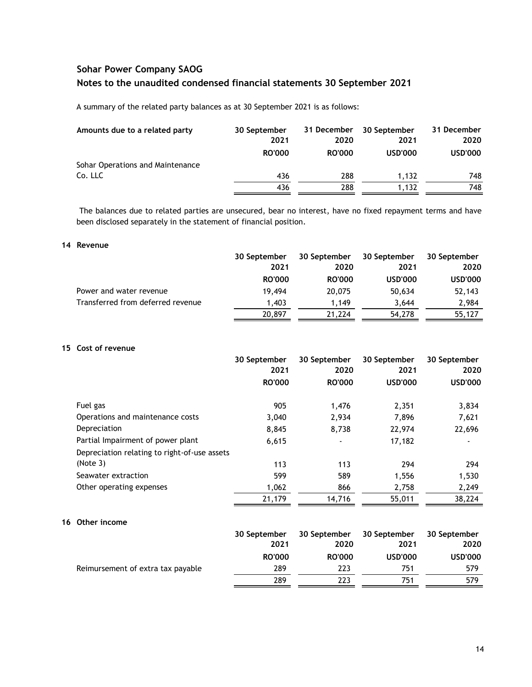A summary of the related party balances as at 30 September 2021 is as follows:

| Amounts due to a related party   | 30 September  | 31 December   | 30 September   | 31 December    |
|----------------------------------|---------------|---------------|----------------|----------------|
|                                  | 2021          | 2020          | 2021           | 2020           |
|                                  | <b>RO'000</b> | <b>RO'000</b> | <b>USD'000</b> | <b>USD'000</b> |
| Sohar Operations and Maintenance |               |               |                |                |
| Co. LLC                          | 436           | 288           | 1.132          | 748            |
|                                  | 436           | 288           | 1.132          | 748            |

The balances due to related parties are unsecured, bear no interest, have no fixed repayment terms and have been disclosed separately in the statement of financial position.

### **14 Revenue**

|                                   | 30 September  | 30 September  | 30 September   | 30 September   |
|-----------------------------------|---------------|---------------|----------------|----------------|
|                                   | 2021          | 2020          | 2021           | 2020           |
|                                   | <b>RO'000</b> | <b>RO'000</b> | <b>USD'000</b> | <b>USD'000</b> |
| Power and water revenue           | 19.494        | 20,075        | 50,634         | 52,143         |
| Transferred from deferred revenue | 1.403         | 1.149         | 3.644          | 2,984          |
|                                   | 20,897        | 21,224        | 54,278         | 55,127         |

### **15 Cost of revenue**

|                                              | 30 September<br>2021 | 30 September<br>2020 | 30 September<br>2021 | 30 September<br>2020 |
|----------------------------------------------|----------------------|----------------------|----------------------|----------------------|
|                                              | <b>RO'000</b>        | <b>RO'000</b>        | <b>USD'000</b>       | <b>USD'000</b>       |
| Fuel gas                                     | 905                  | 1,476                | 2,351                | 3,834                |
| Operations and maintenance costs             | 3,040                | 2,934                | 7,896                | 7,621                |
| Depreciation                                 | 8,845                | 8,738                | 22,974               | 22,696               |
| Partial Impairment of power plant            | 6,615                |                      | 17,182               |                      |
| Depreciation relating to right-of-use assets |                      |                      |                      |                      |
| (Note 3)                                     | 113                  | 113                  | 294                  | 294                  |
| Seawater extraction                          | 599                  | 589                  | 1.556                | 1,530                |
| Other operating expenses                     | 1,062                | 866                  | 2,758                | 2,249                |
|                                              | 21,179               | 14,716               | 55,011               | 38,224               |

### **16 Other income**

|                                   | 30 September<br>2021 | 30 September<br>2020 | 30 September<br>2021 | 30 September<br>2020 |
|-----------------------------------|----------------------|----------------------|----------------------|----------------------|
|                                   | <b>RO'000</b>        | <b>RO'000</b>        | <b>USD'000</b>       | <b>USD'000</b>       |
| Reimursement of extra tax payable | 289                  | 223                  | 751                  | 579                  |
|                                   | 289                  | 223                  | 751                  | 579                  |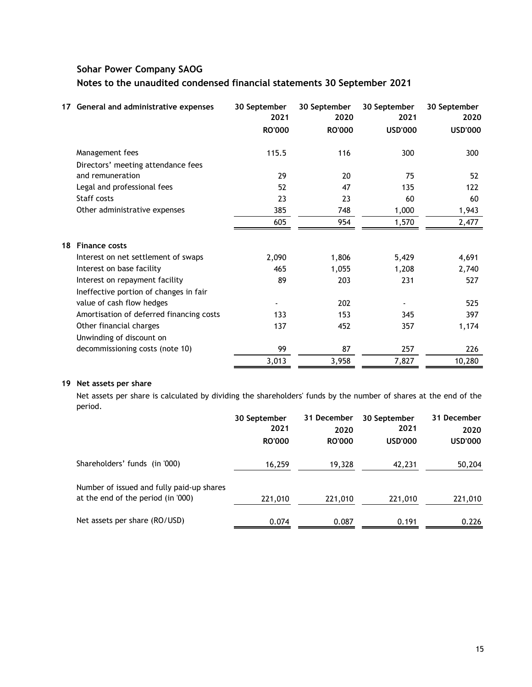|    | 17 General and administrative expenses   | 30 September<br>2021 | 30 September<br>2020 | 30 September<br>2021 | 30 September<br>2020 |
|----|------------------------------------------|----------------------|----------------------|----------------------|----------------------|
|    |                                          | <b>RO'000</b>        | <b>RO'000</b>        | <b>USD'000</b>       | <b>USD'000</b>       |
|    | Management fees                          | 115.5                | 116                  | 300                  | 300                  |
|    | Directors' meeting attendance fees       |                      |                      |                      |                      |
|    | and remuneration                         | 29                   | 20                   | 75                   | 52                   |
|    | Legal and professional fees              | 52                   | 47                   | 135                  | 122                  |
|    | Staff costs                              | 23                   | 23                   | 60                   | 60                   |
|    | Other administrative expenses            | 385                  | 748                  | 1,000                | 1,943                |
|    |                                          | 605                  | 954                  | 1,570                | 2,477                |
| 18 | <b>Finance costs</b>                     |                      |                      |                      |                      |
|    | Interest on net settlement of swaps      | 2,090                | 1,806                | 5,429                | 4,691                |
|    | Interest on base facility                | 465                  | 1,055                | 1,208                | 2,740                |
|    | Interest on repayment facility           | 89                   | 203                  | 231                  | 527                  |
|    | Ineffective portion of changes in fair   |                      |                      |                      |                      |
|    | value of cash flow hedges                |                      | 202                  |                      | 525                  |
|    | Amortisation of deferred financing costs | 133                  | 153                  | 345                  | 397                  |
|    | Other financial charges                  | 137                  | 452                  | 357                  | 1,174                |
|    | Unwinding of discount on                 |                      |                      |                      |                      |
|    | decommissioning costs (note 10)          | 99                   | 87                   | 257                  | 226                  |
|    |                                          | 3,013                | 3,958                | 7,827                | 10,280               |

### **19 Net assets per share**

Net assets per share is calculated by dividing the shareholders' funds by the number of shares at the end of the period.

|                                                                                 | 30 September<br>2021<br><b>RO'000</b> | 31 December<br>2020<br><b>RO'000</b> | 30 September<br>2021<br><b>USD'000</b> | 31 December<br>2020<br><b>USD'000</b> |
|---------------------------------------------------------------------------------|---------------------------------------|--------------------------------------|----------------------------------------|---------------------------------------|
| Shareholders' funds (in '000)                                                   | 16,259                                | 19.328                               | 42,231                                 | 50,204                                |
| Number of issued and fully paid-up shares<br>at the end of the period (in '000) | 221,010                               | 221,010                              | 221,010                                | 221,010                               |
| Net assets per share (RO/USD)                                                   | 0.074                                 | 0.087                                | 0.191                                  | 0.226                                 |